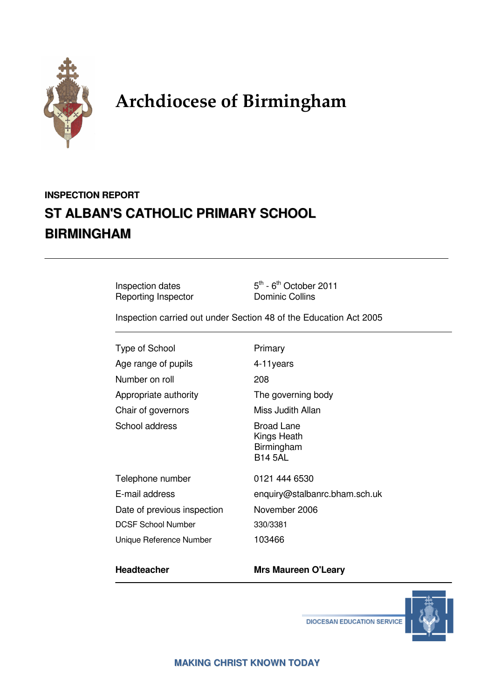

# Archdiocese of Birmingham

# **INSPECTION REPORT ST ALBAN'S CATHOLIC PRIMARY SCHOOL BIRMINGHAM**

Reporting Inspector **Dominic Collins** 

Inspection dates  $5<sup>th</sup> - 6<sup>th</sup>$  October 2011

Inspection carried out under Section 48 of the Education Act 2005

Type of School **Primary** Age range of pupils 4-11years Number on roll 208 Appropriate authority The governing body Chair of governors Miss Judith Allan School address Broad Lane

Telephone number 0121 444 6530 Date of previous inspection November 2006 DCSF School Number 330/3381 Unique Reference Number 103466

 Kings Heath Birmingham B14 5AL

E-mail address enquiry@stalbanrc.bham.sch.uk

#### **Headteacher Mrs Maureen O'Leary**



**DIOCESAN EDUCATION SERVICE**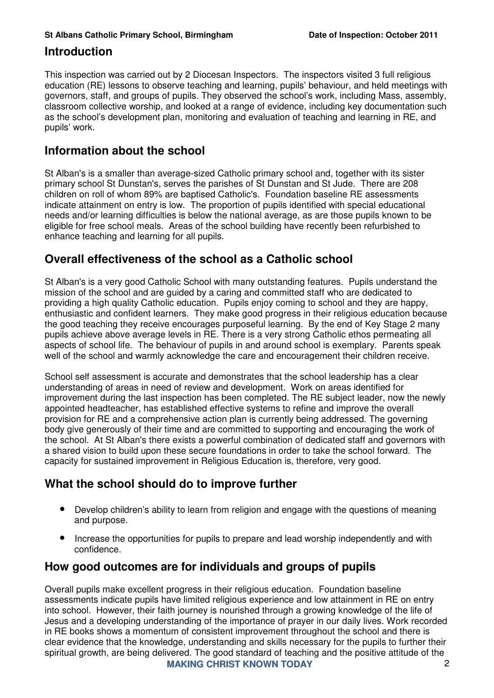#### **Introduction**

This inspection was carried out by 2 Diocesan Inspectors. The inspectors visited 3 full religious education (RE) lessons to observe teaching and learning, pupils' behaviour, and held meetings with governors, staff, and groups of pupils. They observed the school's work, including Mass, assembly, classroom collective worship, and looked at a range of evidence, including key documentation such as the school's development plan, monitoring and evaluation of teaching and learning in RE, and pupils' work.

### **Information about the school**

St Alban's is a smaller than average-sized Catholic primary school and, together with its sister primary school St Dunstan's, serves the parishes of St Dunstan and St Jude. There are 208 children on roll of whom 89% are baptised Catholic's. Foundation baseline RE assessments indicate attainment on entry is low. The proportion of pupils identified with special educational needs and/or learning difficulties is below the national average, as are those pupils known to be eligible for free school meals. Areas of the school building have recently been refurbished to enhance teaching and learning for all pupils.

## **Overall effectiveness of the school as a Catholic school**

St Alban's is a very good Catholic School with many outstanding features. Pupils understand the mission of the school and are guided by a caring and committed staff who are dedicated to providing a high quality Catholic education. Pupils enjoy coming to school and they are happy, enthusiastic and confident learners. They make good progress in their religious education because the good teaching they receive encourages purposeful learning. By the end of Key Stage 2 many pupils achieve above average levels in RE. There is a very strong Catholic ethos permeating all aspects of school life. The behaviour of pupils in and around school is exemplary. Parents speak well of the school and warmly acknowledge the care and encouragement their children receive.

School self assessment is accurate and demonstrates that the school leadership has a clear understanding of areas in need of review and development. Work on areas identified for improvement during the last inspection has been completed. The RE subject leader, now the newly appointed headteacher, has established effective systems to refine and improve the overall provision for RE and a comprehensive action plan is currently being addressed. The governing body give generously of their time and are committed to supporting and encouraging the work of the school. At St Alban's there exists a powerful combination of dedicated staff and governors with a shared vision to build upon these secure foundations in order to take the school forward. The capacity for sustained improvement in Religious Education is, therefore, very good.

# **What the school should do to improve further**

- Develop children's ability to learn from religion and engage with the questions of meaning and purpose.
- Increase the opportunities for pupils to prepare and lead worship independently and with confidence.

## **How good outcomes are for individuals and groups of pupils**

**MAKING CHRIST KNOWN TODAY** 2 Overall pupils make excellent progress in their religious education. Foundation baseline assessments indicate pupils have limited religious experience and low attainment in RE on entry into school. However, their faith journey is nourished through a growing knowledge of the life of Jesus and a developing understanding of the importance of prayer in our daily lives. Work recorded in RE books shows a momentum of consistent improvement throughout the school and there is clear evidence that the knowledge, understanding and skills necessary for the pupils to further their spiritual growth, are being delivered. The good standard of teaching and the positive attitude of the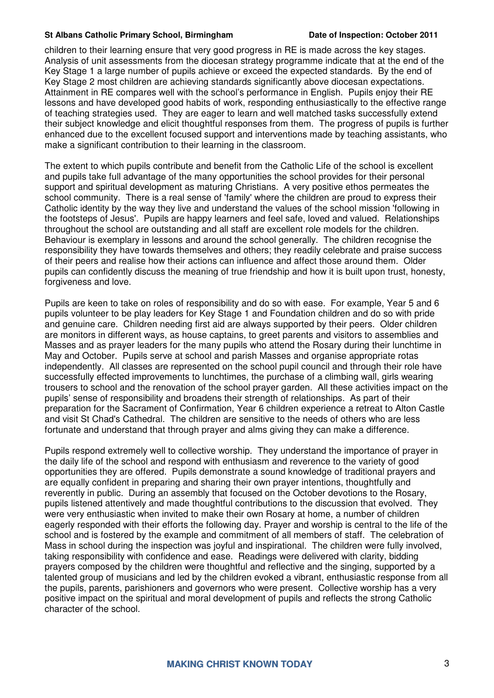#### **St Albans Catholic Primary School, Birmingham Date of Inspection: October 2011**

children to their learning ensure that very good progress in RE is made across the key stages. Analysis of unit assessments from the diocesan strategy programme indicate that at the end of the Key Stage 1 a large number of pupils achieve or exceed the expected standards. By the end of Key Stage 2 most children are achieving standards significantly above diocesan expectations. Attainment in RE compares well with the school's performance in English. Pupils enjoy their RE lessons and have developed good habits of work, responding enthusiastically to the effective range of teaching strategies used. They are eager to learn and well matched tasks successfully extend their subject knowledge and elicit thoughtful responses from them. The progress of pupils is further enhanced due to the excellent focused support and interventions made by teaching assistants, who make a significant contribution to their learning in the classroom.

The extent to which pupils contribute and benefit from the Catholic Life of the school is excellent and pupils take full advantage of the many opportunities the school provides for their personal support and spiritual development as maturing Christians. A very positive ethos permeates the school community. There is a real sense of 'family' where the children are proud to express their Catholic identity by the way they live and understand the values of the school mission 'following in the footsteps of Jesus'. Pupils are happy learners and feel safe, loved and valued. Relationships throughout the school are outstanding and all staff are excellent role models for the children. Behaviour is exemplary in lessons and around the school generally. The children recognise the responsibility they have towards themselves and others; they readily celebrate and praise success of their peers and realise how their actions can influence and affect those around them. Older pupils can confidently discuss the meaning of true friendship and how it is built upon trust, honesty, forgiveness and love.

Pupils are keen to take on roles of responsibility and do so with ease. For example, Year 5 and 6 pupils volunteer to be play leaders for Key Stage 1 and Foundation children and do so with pride and genuine care. Children needing first aid are always supported by their peers. Older children are monitors in different ways, as house captains, to greet parents and visitors to assemblies and Masses and as prayer leaders for the many pupils who attend the Rosary during their lunchtime in May and October. Pupils serve at school and parish Masses and organise appropriate rotas independently. All classes are represented on the school pupil council and through their role have successfully effected improvements to lunchtimes, the purchase of a climbing wall, girls wearing trousers to school and the renovation of the school prayer garden. All these activities impact on the pupils' sense of responsibility and broadens their strength of relationships. As part of their preparation for the Sacrament of Confirmation, Year 6 children experience a retreat to Alton Castle and visit St Chad's Cathedral. The children are sensitive to the needs of others who are less fortunate and understand that through prayer and alms giving they can make a difference.

Pupils respond extremely well to collective worship. They understand the importance of prayer in the daily life of the school and respond with enthusiasm and reverence to the variety of good opportunities they are offered. Pupils demonstrate a sound knowledge of traditional prayers and are equally confident in preparing and sharing their own prayer intentions, thoughtfully and reverently in public. During an assembly that focused on the October devotions to the Rosary, pupils listened attentively and made thoughtful contributions to the discussion that evolved. They were very enthusiastic when invited to make their own Rosary at home, a number of children eagerly responded with their efforts the following day. Prayer and worship is central to the life of the school and is fostered by the example and commitment of all members of staff. The celebration of Mass in school during the inspection was joyful and inspirational. The children were fully involved, taking responsibility with confidence and ease. Readings were delivered with clarity, bidding prayers composed by the children were thoughtful and reflective and the singing, supported by a talented group of musicians and led by the children evoked a vibrant, enthusiastic response from all the pupils, parents, parishioners and governors who were present. Collective worship has a very positive impact on the spiritual and moral development of pupils and reflects the strong Catholic character of the school.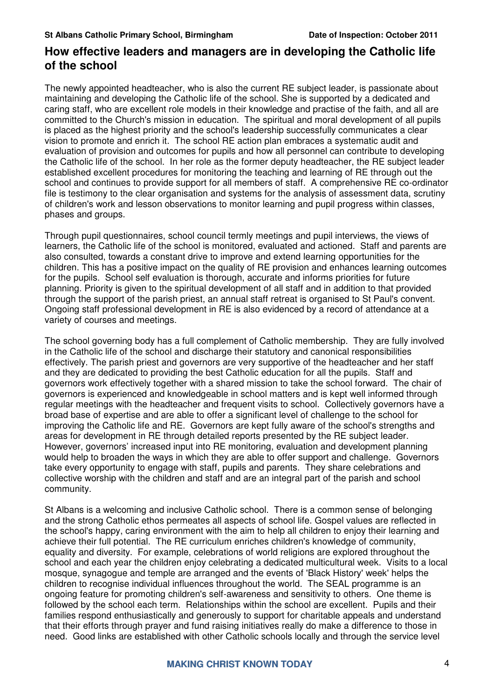### **How effective leaders and managers are in developing the Catholic life of the school**

The newly appointed headteacher, who is also the current RE subject leader, is passionate about maintaining and developing the Catholic life of the school. She is supported by a dedicated and caring staff, who are excellent role models in their knowledge and practise of the faith, and all are committed to the Church's mission in education. The spiritual and moral development of all pupils is placed as the highest priority and the school's leadership successfully communicates a clear vision to promote and enrich it. The school RE action plan embraces a systematic audit and evaluation of provision and outcomes for pupils and how all personnel can contribute to developing the Catholic life of the school. In her role as the former deputy headteacher, the RE subject leader established excellent procedures for monitoring the teaching and learning of RE through out the school and continues to provide support for all members of staff. A comprehensive RE co-ordinator file is testimony to the clear organisation and systems for the analysis of assessment data, scrutiny of children's work and lesson observations to monitor learning and pupil progress within classes, phases and groups.

Through pupil questionnaires, school council termly meetings and pupil interviews, the views of learners, the Catholic life of the school is monitored, evaluated and actioned. Staff and parents are also consulted, towards a constant drive to improve and extend learning opportunities for the children. This has a positive impact on the quality of RE provision and enhances learning outcomes for the pupils. School self evaluation is thorough, accurate and informs priorities for future planning. Priority is given to the spiritual development of all staff and in addition to that provided through the support of the parish priest, an annual staff retreat is organised to St Paul's convent. Ongoing staff professional development in RE is also evidenced by a record of attendance at a variety of courses and meetings.

The school governing body has a full complement of Catholic membership. They are fully involved in the Catholic life of the school and discharge their statutory and canonical responsibilities effectively. The parish priest and governors are very supportive of the headteacher and her staff and they are dedicated to providing the best Catholic education for all the pupils. Staff and governors work effectively together with a shared mission to take the school forward. The chair of governors is experienced and knowledgeable in school matters and is kept well informed through regular meetings with the headteacher and frequent visits to school. Collectively governors have a broad base of expertise and are able to offer a significant level of challenge to the school for improving the Catholic life and RE. Governors are kept fully aware of the school's strengths and areas for development in RE through detailed reports presented by the RE subject leader. However, governors' increased input into RE monitoring, evaluation and development planning would help to broaden the ways in which they are able to offer support and challenge. Governors take every opportunity to engage with staff, pupils and parents. They share celebrations and collective worship with the children and staff and are an integral part of the parish and school community.

St Albans is a welcoming and inclusive Catholic school. There is a common sense of belonging and the strong Catholic ethos permeates all aspects of school life. Gospel values are reflected in the school's happy, caring environment with the aim to help all children to enjoy their learning and achieve their full potential. The RE curriculum enriches children's knowledge of community, equality and diversity. For example, celebrations of world religions are explored throughout the school and each year the children enjoy celebrating a dedicated multicultural week. Visits to a local mosque, synagogue and temple are arranged and the events of 'Black History' week' helps the children to recognise individual influences throughout the world. The SEAL programme is an ongoing feature for promoting children's self-awareness and sensitivity to others. One theme is followed by the school each term. Relationships within the school are excellent. Pupils and their families respond enthusiastically and generously to support for charitable appeals and understand that their efforts through prayer and fund raising initiatives really do make a difference to those in need. Good links are established with other Catholic schools locally and through the service level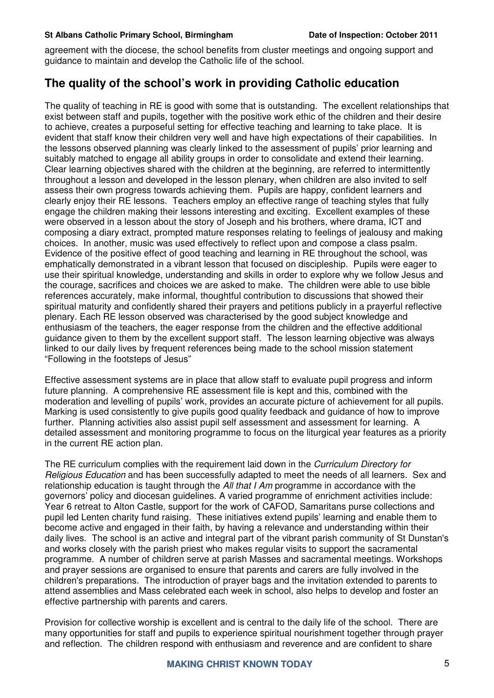#### **St Albans Catholic Primary School, Birmingham Date of Inspection: October 2011**

agreement with the diocese, the school benefits from cluster meetings and ongoing support and guidance to maintain and develop the Catholic life of the school.

### **The quality of the school's work in providing Catholic education**

The quality of teaching in RE is good with some that is outstanding. The excellent relationships that exist between staff and pupils, together with the positive work ethic of the children and their desire to achieve, creates a purposeful setting for effective teaching and learning to take place. It is evident that staff know their children very well and have high expectations of their capabilities. In the lessons observed planning was clearly linked to the assessment of pupils' prior learning and suitably matched to engage all ability groups in order to consolidate and extend their learning. Clear learning objectives shared with the children at the beginning, are referred to intermittently throughout a lesson and developed in the lesson plenary, when children are also invited to self assess their own progress towards achieving them. Pupils are happy, confident learners and clearly enjoy their RE lessons. Teachers employ an effective range of teaching styles that fully engage the children making their lessons interesting and exciting. Excellent examples of these were observed in a lesson about the story of Joseph and his brothers, where drama, ICT and composing a diary extract, prompted mature responses relating to feelings of jealousy and making choices. In another, music was used effectively to reflect upon and compose a class psalm. Evidence of the positive effect of good teaching and learning in RE throughout the school, was emphatically demonstrated in a vibrant lesson that focused on discipleship. Pupils were eager to use their spiritual knowledge, understanding and skills in order to explore why we follow Jesus and the courage, sacrifices and choices we are asked to make. The children were able to use bible references accurately, make informal, thoughtful contribution to discussions that showed their spiritual maturity and confidently shared their prayers and petitions publicly in a prayerful reflective plenary. Each RE lesson observed was characterised by the good subject knowledge and enthusiasm of the teachers, the eager response from the children and the effective additional guidance given to them by the excellent support staff. The lesson learning objective was always linked to our daily lives by frequent references being made to the school mission statement "Following in the footsteps of Jesus"

Effective assessment systems are in place that allow staff to evaluate pupil progress and inform future planning. A comprehensive RE assessment file is kept and this, combined with the moderation and levelling of pupils' work, provides an accurate picture of achievement for all pupils. Marking is used consistently to give pupils good quality feedback and guidance of how to improve further. Planning activities also assist pupil self assessment and assessment for learning. A detailed assessment and monitoring programme to focus on the liturgical year features as a priority in the current RE action plan.

The RE curriculum complies with the requirement laid down in the Curriculum Directory for Religious Education and has been successfully adapted to meet the needs of all learners. Sex and relationship education is taught through the All that  $I$  Am programme in accordance with the governors' policy and diocesan guidelines. A varied programme of enrichment activities include: Year 6 retreat to Alton Castle, support for the work of CAFOD, Samaritans purse collections and pupil led Lenten charity fund raising. These initiatives extend pupils' learning and enable them to become active and engaged in their faith, by having a relevance and understanding within their daily lives. The school is an active and integral part of the vibrant parish community of St Dunstan's and works closely with the parish priest who makes regular visits to support the sacramental programme. A number of children serve at parish Masses and sacramental meetings. Workshops and prayer sessions are organised to ensure that parents and carers are fully involved in the children's preparations. The introduction of prayer bags and the invitation extended to parents to attend assemblies and Mass celebrated each week in school, also helps to develop and foster an effective partnership with parents and carers.

Provision for collective worship is excellent and is central to the daily life of the school. There are many opportunities for staff and pupils to experience spiritual nourishment together through prayer and reflection. The children respond with enthusiasm and reverence and are confident to share